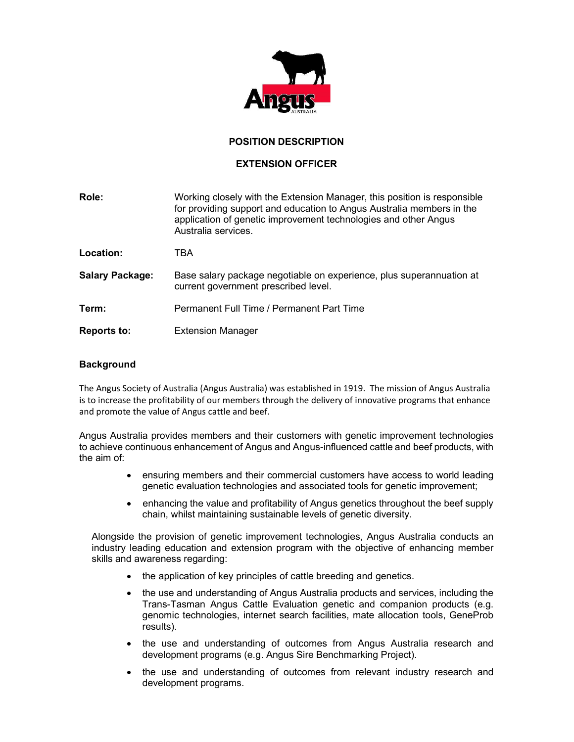

# POSITION DESCRIPTION

## EXTENSION OFFICER

| Role:                  | Working closely with the Extension Manager, this position is responsible<br>for providing support and education to Angus Australia members in the<br>application of genetic improvement technologies and other Angus<br>Australia services. |
|------------------------|---------------------------------------------------------------------------------------------------------------------------------------------------------------------------------------------------------------------------------------------|
| Location:              | TBA                                                                                                                                                                                                                                         |
| <b>Salary Package:</b> | Base salary package negotiable on experience, plus superannuation at<br>current government prescribed level.                                                                                                                                |
| Term:                  | Permanent Full Time / Permanent Part Time                                                                                                                                                                                                   |
| <b>Reports to:</b>     | <b>Extension Manager</b>                                                                                                                                                                                                                    |

#### **Background**

The Angus Society of Australia (Angus Australia) was established in 1919. The mission of Angus Australia is to increase the profitability of our members through the delivery of innovative programs that enhance and promote the value of Angus cattle and beef.

Angus Australia provides members and their customers with genetic improvement technologies to achieve continuous enhancement of Angus and Angus-influenced cattle and beef products, with the aim of:

- ensuring members and their commercial customers have access to world leading genetic evaluation technologies and associated tools for genetic improvement;
- enhancing the value and profitability of Angus genetics throughout the beef supply chain, whilst maintaining sustainable levels of genetic diversity.

Alongside the provision of genetic improvement technologies, Angus Australia conducts an industry leading education and extension program with the objective of enhancing member skills and awareness regarding:

- the application of key principles of cattle breeding and genetics.
- the use and understanding of Angus Australia products and services, including the Trans-Tasman Angus Cattle Evaluation genetic and companion products (e.g. genomic technologies, internet search facilities, mate allocation tools, GeneProb results).
- the use and understanding of outcomes from Angus Australia research and development programs (e.g. Angus Sire Benchmarking Project).
- the use and understanding of outcomes from relevant industry research and development programs.